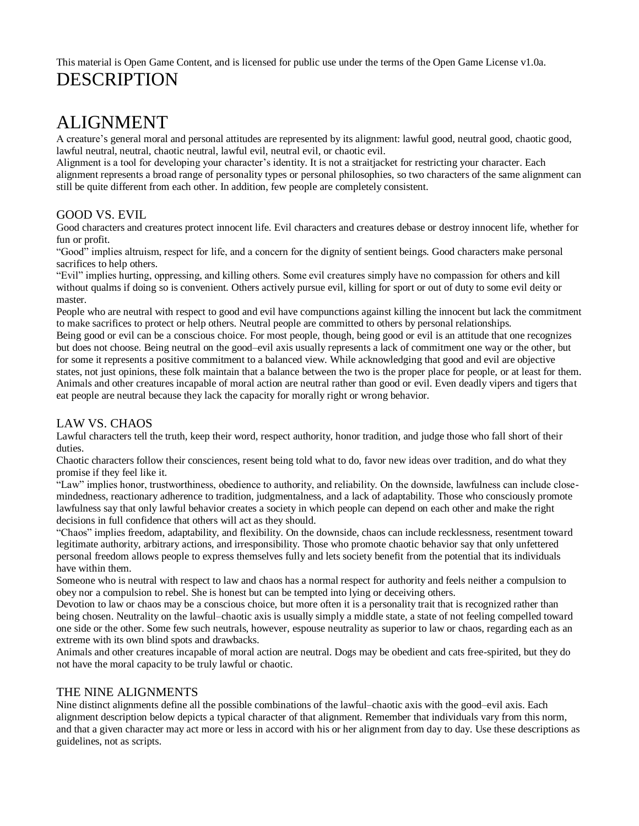## This material is Open Game Content, and is licensed for public use under the terms of the Open Game License v1.0a. DESCRIPTION

# ALIGNMENT

A creature's general moral and personal attitudes are represented by its alignment: lawful good, neutral good, chaotic good, lawful neutral, neutral, chaotic neutral, lawful evil, neutral evil, or chaotic evil.

Alignment is a tool for developing your character's identity. It is not a straitjacket for restricting your character. Each alignment represents a broad range of personality types or personal philosophies, so two characters of the same alignment can still be quite different from each other. In addition, few people are completely consistent.

## GOOD VS. EVIL

Good characters and creatures protect innocent life. Evil characters and creatures debase or destroy innocent life, whether for fun or profit.

"Good" implies altruism, respect for life, and a concern for the dignity of sentient beings. Good characters make personal sacrifices to help others.

"Evil" implies hurting, oppressing, and killing others. Some evil creatures simply have no compassion for others and kill without qualms if doing so is convenient. Others actively pursue evil, killing for sport or out of duty to some evil deity or master.

People who are neutral with respect to good and evil have compunctions against killing the innocent but lack the commitment to make sacrifices to protect or help others. Neutral people are committed to others by personal relationships.

Being good or evil can be a conscious choice. For most people, though, being good or evil is an attitude that one recognizes but does not choose. Being neutral on the good–evil axis usually represents a lack of commitment one way or the other, but for some it represents a positive commitment to a balanced view. While acknowledging that good and evil are objective states, not just opinions, these folk maintain that a balance between the two is the proper place for people, or at least for them. Animals and other creatures incapable of moral action are neutral rather than good or evil. Even deadly vipers and tigers that eat people are neutral because they lack the capacity for morally right or wrong behavior.

## LAW VS. CHAOS

Lawful characters tell the truth, keep their word, respect authority, honor tradition, and judge those who fall short of their duties.

Chaotic characters follow their consciences, resent being told what to do, favor new ideas over tradition, and do what they promise if they feel like it.

"Law" implies honor, trustworthiness, obedience to authority, and reliability. On the downside, lawfulness can include closemindedness, reactionary adherence to tradition, judgmentalness, and a lack of adaptability. Those who consciously promote lawfulness say that only lawful behavior creates a society in which people can depend on each other and make the right decisions in full confidence that others will act as they should.

"Chaos" implies freedom, adaptability, and flexibility. On the downside, chaos can include recklessness, resentment toward legitimate authority, arbitrary actions, and irresponsibility. Those who promote chaotic behavior say that only unfettered personal freedom allows people to express themselves fully and lets society benefit from the potential that its individuals have within them.

Someone who is neutral with respect to law and chaos has a normal respect for authority and feels neither a compulsion to obey nor a compulsion to rebel. She is honest but can be tempted into lying or deceiving others.

Devotion to law or chaos may be a conscious choice, but more often it is a personality trait that is recognized rather than being chosen. Neutrality on the lawful–chaotic axis is usually simply a middle state, a state of not feeling compelled toward one side or the other. Some few such neutrals, however, espouse neutrality as superior to law or chaos, regarding each as an extreme with its own blind spots and drawbacks.

Animals and other creatures incapable of moral action are neutral. Dogs may be obedient and cats free-spirited, but they do not have the moral capacity to be truly lawful or chaotic.

## THE NINE ALIGNMENTS

Nine distinct alignments define all the possible combinations of the lawful–chaotic axis with the good–evil axis. Each alignment description below depicts a typical character of that alignment. Remember that individuals vary from this norm, and that a given character may act more or less in accord with his or her alignment from day to day. Use these descriptions as guidelines, not as scripts.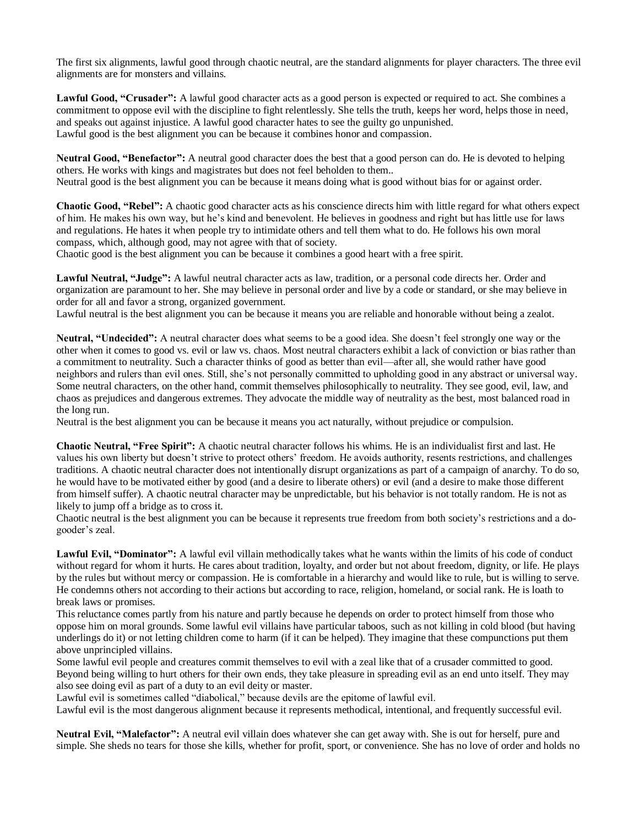The first six alignments, lawful good through chaotic neutral, are the standard alignments for player characters. The three evil alignments are for monsters and villains.

**Lawful Good, "Crusader":** A lawful good character acts as a good person is expected or required to act. She combines a commitment to oppose evil with the discipline to fight relentlessly. She tells the truth, keeps her word, helps those in need, and speaks out against injustice. A lawful good character hates to see the guilty go unpunished. Lawful good is the best alignment you can be because it combines honor and compassion.

**Neutral Good, "Benefactor":** A neutral good character does the best that a good person can do. He is devoted to helping others. He works with kings and magistrates but does not feel beholden to them.. Neutral good is the best alignment you can be because it means doing what is good without bias for or against order.

**Chaotic Good, "Rebel":** A chaotic good character acts as his conscience directs him with little regard for what others expect of him. He makes his own way, but he's kind and benevolent. He believes in goodness and right but has little use for laws and regulations. He hates it when people try to intimidate others and tell them what to do. He follows his own moral compass, which, although good, may not agree with that of society.

Chaotic good is the best alignment you can be because it combines a good heart with a free spirit.

**Lawful Neutral, "Judge":** A lawful neutral character acts as law, tradition, or a personal code directs her. Order and organization are paramount to her. She may believe in personal order and live by a code or standard, or she may believe in order for all and favor a strong, organized government.

Lawful neutral is the best alignment you can be because it means you are reliable and honorable without being a zealot.

**Neutral, "Undecided":** A neutral character does what seems to be a good idea. She doesn't feel strongly one way or the other when it comes to good vs. evil or law vs. chaos. Most neutral characters exhibit a lack of conviction or bias rather than a commitment to neutrality. Such a character thinks of good as better than evil—after all, she would rather have good neighbors and rulers than evil ones. Still, she's not personally committed to upholding good in any abstract or universal way. Some neutral characters, on the other hand, commit themselves philosophically to neutrality. They see good, evil, law, and chaos as prejudices and dangerous extremes. They advocate the middle way of neutrality as the best, most balanced road in the long run.

Neutral is the best alignment you can be because it means you act naturally, without prejudice or compulsion.

**Chaotic Neutral, "Free Spirit":** A chaotic neutral character follows his whims. He is an individualist first and last. He values his own liberty but doesn't strive to protect others' freedom. He avoids authority, resents restrictions, and challenges traditions. A chaotic neutral character does not intentionally disrupt organizations as part of a campaign of anarchy. To do so, he would have to be motivated either by good (and a desire to liberate others) or evil (and a desire to make those different from himself suffer). A chaotic neutral character may be unpredictable, but his behavior is not totally random. He is not as likely to jump off a bridge as to cross it.

Chaotic neutral is the best alignment you can be because it represents true freedom from both society's restrictions and a dogooder's zeal.

**Lawful Evil, "Dominator":** A lawful evil villain methodically takes what he wants within the limits of his code of conduct without regard for whom it hurts. He cares about tradition, loyalty, and order but not about freedom, dignity, or life. He plays by the rules but without mercy or compassion. He is comfortable in a hierarchy and would like to rule, but is willing to serve. He condemns others not according to their actions but according to race, religion, homeland, or social rank. He is loath to break laws or promises.

This reluctance comes partly from his nature and partly because he depends on order to protect himself from those who oppose him on moral grounds. Some lawful evil villains have particular taboos, such as not killing in cold blood (but having underlings do it) or not letting children come to harm (if it can be helped). They imagine that these compunctions put them above unprincipled villains.

Some lawful evil people and creatures commit themselves to evil with a zeal like that of a crusader committed to good. Beyond being willing to hurt others for their own ends, they take pleasure in spreading evil as an end unto itself. They may also see doing evil as part of a duty to an evil deity or master.

Lawful evil is sometimes called "diabolical," because devils are the epitome of lawful evil.

Lawful evil is the most dangerous alignment because it represents methodical, intentional, and frequently successful evil.

**Neutral Evil, "Malefactor":** A neutral evil villain does whatever she can get away with. She is out for herself, pure and simple. She sheds no tears for those she kills, whether for profit, sport, or convenience. She has no love of order and holds no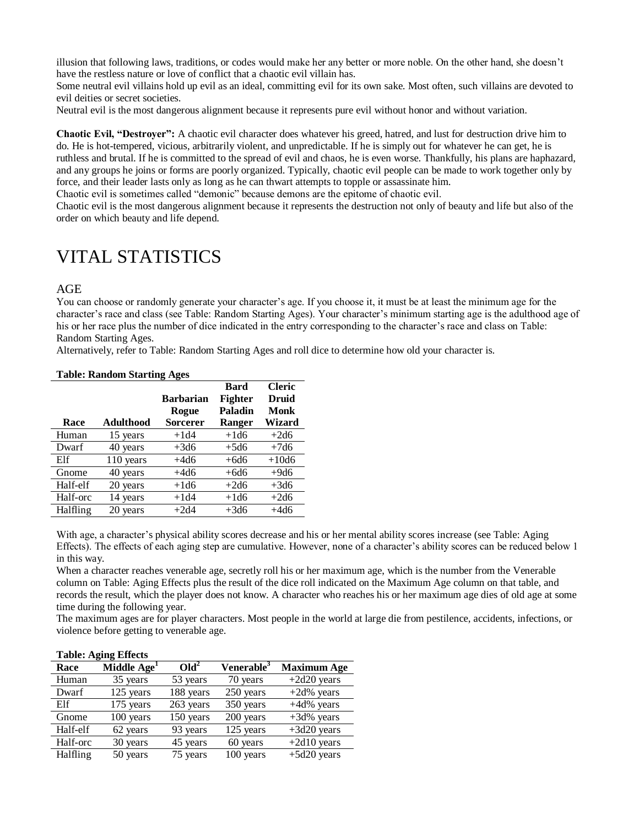illusion that following laws, traditions, or codes would make her any better or more noble. On the other hand, she doesn't have the restless nature or love of conflict that a chaotic evil villain has.

Some neutral evil villains hold up evil as an ideal, committing evil for its own sake. Most often, such villains are devoted to evil deities or secret societies.

Neutral evil is the most dangerous alignment because it represents pure evil without honor and without variation.

**Chaotic Evil, "Destroyer":** A chaotic evil character does whatever his greed, hatred, and lust for destruction drive him to do. He is hot-tempered, vicious, arbitrarily violent, and unpredictable. If he is simply out for whatever he can get, he is ruthless and brutal. If he is committed to the spread of evil and chaos, he is even worse. Thankfully, his plans are haphazard, and any groups he joins or forms are poorly organized. Typically, chaotic evil people can be made to work together only by force, and their leader lasts only as long as he can thwart attempts to topple or assassinate him.

Chaotic evil is sometimes called "demonic" because demons are the epitome of chaotic evil.

Chaotic evil is the most dangerous alignment because it represents the destruction not only of beauty and life but also of the order on which beauty and life depend.

# VITAL STATISTICS

### AGE

You can choose or randomly generate your character's age. If you choose it, it must be at least the minimum age for the character's race and class (see Table: Random Starting Ages). Your character's minimum starting age is the adulthood age of his or her race plus the number of dice indicated in the entry corresponding to the character's race and class on Table: Random Starting Ages.

Alternatively, refer to Table: Random Starting Ages and roll dice to determine how old your character is.

|          |                  |                  | <b>Bard</b>    | <b>Cleric</b> |
|----------|------------------|------------------|----------------|---------------|
|          |                  | <b>Barbarian</b> | <b>Fighter</b> | <b>Druid</b>  |
|          |                  | Rogue            | Paladin        | Monk          |
| Race     | <b>Adulthood</b> | <b>Sorcerer</b>  | <b>Ranger</b>  | Wizard        |
| Human    | 15 years         | $+1d4$           | $+1d6$         | $+2d6$        |
| Dwarf    | 40 years         | $+3d6$           | $+5d6$         | $+7d6$        |
| Elf      | 110 years        | $+4d6$           | $+6d6$         | $+10d6$       |
| Gnome    | 40 years         | $+4d6$           | $+6d6$         | $+9d6$        |
| Half-elf | 20 years         | $+1d6$           | $+2d6$         | $+3d6$        |
| Half-orc | 14 years         | $+1d4$           | $+1d6$         | $+2d6$        |
| Halfling | 20 years         | $+2d4$           | $+3d6$         | $+4d6$        |

#### **Table: Random Starting Ages**

With age, a character's physical ability scores decrease and his or her mental ability scores increase (see Table: Aging Effects). The effects of each aging step are cumulative. However, none of a character's ability scores can be reduced below 1 in this way.

When a character reaches venerable age, secretly roll his or her maximum age, which is the number from the Venerable column on Table: Aging Effects plus the result of the dice roll indicated on the Maximum Age column on that table, and records the result, which the player does not know. A character who reaches his or her maximum age dies of old age at some time during the following year.

The maximum ages are for player characters. Most people in the world at large die from pestilence, accidents, infections, or violence before getting to venerable age.

#### **Table: Aging Effects**

| Race     | Middle Age <sup>1</sup> | Old <sup>2</sup> | Venerable <sup>3</sup> | <b>Maximum Age</b> |
|----------|-------------------------|------------------|------------------------|--------------------|
| Human    | 35 years                | 53 years         | 70 years               | $+2d20$ years      |
| Dwarf    | 125 years               | 188 years        | 250 years              | $+2d\%$ years      |
| Elf      | 175 years               | 263 years        | 350 years              | $+4d\%$ years      |
| Gnome    | 100 years               | 150 years        | 200 years              | $+3d\%$ years      |
| Half-elf | 62 years                | 93 years         | 125 years              | $+3d20$ years      |
| Half-orc | 30 years                | 45 years         | 60 years               | $+2d10$ years      |
| Halfling | 50 years                | 75 years         | 100 years              | $+5d20$ years      |